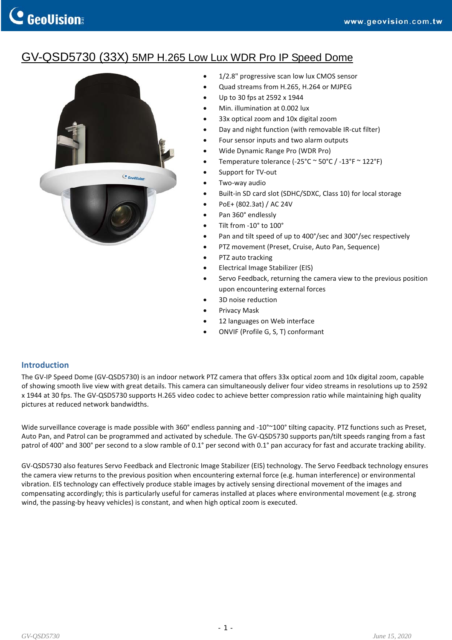## GV-QSD5730 (33X) 5MP H.265 Low Lux WDR Pro IP Speed Dome



- 1/2.8" progressive scan low lux CMOS sensor
- Quad streams from H.265, H.264 or MJPEG
- Up to 30 fps at 2592 x 1944
- Min. illumination at 0.002 lux
- 33x optical zoom and 10x digital zoom
- Day and night function (with removable IR‐cut filter)
- Four sensor inputs and two alarm outputs
- Wide Dynamic Range Pro (WDR Pro)
- Temperature tolerance (‐25°C ~ 50°C / ‐13°F ~ 122°F)
- Support for TV‐out
- Two‐way audio
- Built-in SD card slot (SDHC/SDXC, Class 10) for local storage
- PoE+ (802.3at) / AC 24V
- Pan 360° endlessly
- Tilt from -10° to 100°
- Pan and tilt speed of up to 400°/sec and 300°/sec respectively
- PTZ movement (Preset, Cruise, Auto Pan, Sequence)
- PTZ auto tracking
- Electrical Image Stabilizer (EIS)
- Servo Feedback, returning the camera view to the previous position upon encountering external forces
- 3D noise reduction
- Privacy Mask
- 12 languages on Web interface
- ONVIF (Profile G, S, T) conformant

### **Introduction**

The GV-IP Speed Dome (GV-QSD5730) is an indoor network PTZ camera that offers 33x optical zoom and 10x digital zoom, capable of showing smooth live view with great details. This camera can simultaneously deliver four video streams in resolutions up to 2592 x 1944 at 30 fps. The GV‐QSD5730 supports H.265 video codec to achieve better compression ratio while maintaining high quality pictures at reduced network bandwidths.

Wide surveillance coverage is made possible with 360° endless panning and -10°~100° tilting capacity. PTZ functions such as Preset, Auto Pan, and Patrol can be programmed and activated by schedule. The GV‐QSD5730 supports pan/tilt speeds ranging from a fast patrol of 400° and 300° per second to a slow ramble of 0.1° per second with 0.1° pan accuracy for fast and accurate tracking ability.

GV‐QSD5730 also features Servo Feedback and Electronic Image Stabilizer (EIS) technology. The Servo Feedback technology ensures the camera view returns to the previous position when encountering external force (e.g. human interference) or environmental vibration. EIS technology can effectively produce stable images by actively sensing directional movement of the images and compensating accordingly; this is particularly useful for cameras installed at places where environmental movement (e.g. strong wind, the passing-by heavy vehicles) is constant, and when high optical zoom is executed.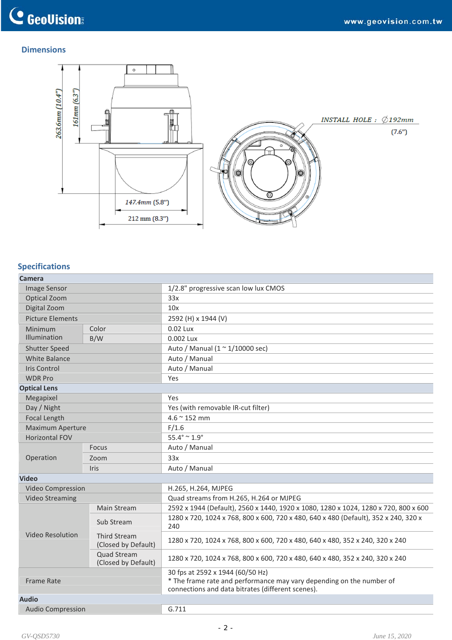### **Dimensions**



### **Specifications**

| Camera                   |                                            |                                                                                                                                                               |
|--------------------------|--------------------------------------------|---------------------------------------------------------------------------------------------------------------------------------------------------------------|
| <b>Image Sensor</b>      |                                            | 1/2.8" progressive scan low lux CMOS                                                                                                                          |
| Optical Zoom             |                                            | 33x                                                                                                                                                           |
| Digital Zoom             |                                            | 10x                                                                                                                                                           |
| <b>Picture Elements</b>  |                                            | 2592 (H) x 1944 (V)                                                                                                                                           |
| Minimum                  | Color                                      | 0.02 Lux                                                                                                                                                      |
| Illumination             | B/W                                        | 0.002 Lux                                                                                                                                                     |
| <b>Shutter Speed</b>     |                                            | Auto / Manual $(1 \approx 1/10000 \text{ sec})$                                                                                                               |
| <b>White Balance</b>     |                                            | Auto / Manual                                                                                                                                                 |
| <b>Iris Control</b>      |                                            | Auto / Manual                                                                                                                                                 |
| <b>WDR Pro</b>           |                                            | Yes                                                                                                                                                           |
| <b>Optical Lens</b>      |                                            |                                                                                                                                                               |
| Megapixel                |                                            | Yes                                                                                                                                                           |
| Day / Night              |                                            | Yes (with removable IR-cut filter)                                                                                                                            |
| <b>Focal Length</b>      |                                            | $4.6 \approx 152$ mm                                                                                                                                          |
| <b>Maximum Aperture</b>  |                                            | F/1.6                                                                                                                                                         |
| Horizontal FOV           |                                            | $55.4^{\circ} \sim 1.9^{\circ}$                                                                                                                               |
|                          | Focus                                      | Auto / Manual                                                                                                                                                 |
| Operation                | Zoom                                       | 33x                                                                                                                                                           |
|                          | Iris                                       | Auto / Manual                                                                                                                                                 |
| <b>Video</b>             |                                            |                                                                                                                                                               |
| Video Compression        |                                            | H.265, H.264, MJPEG                                                                                                                                           |
| <b>Video Streaming</b>   |                                            | Quad streams from H.265, H.264 or MJPEG                                                                                                                       |
|                          | Main Stream                                | 2592 x 1944 (Default), 2560 x 1440, 1920 x 1080, 1280 x 1024, 1280 x 720, 800 x 600                                                                           |
| <b>Video Resolution</b>  | Sub Stream                                 | 1280 x 720, 1024 x 768, 800 x 600, 720 x 480, 640 x 480 (Default), 352 x 240, 320 x<br>240                                                                    |
|                          | <b>Third Stream</b><br>(Closed by Default) | 1280 x 720, 1024 x 768, 800 x 600, 720 x 480, 640 x 480, 352 x 240, 320 x 240                                                                                 |
|                          | <b>Quad Stream</b><br>(Closed by Default)  | 1280 x 720, 1024 x 768, 800 x 600, 720 x 480, 640 x 480, 352 x 240, 320 x 240                                                                                 |
| <b>Frame Rate</b>        |                                            | 30 fps at 2592 x 1944 (60/50 Hz)<br>* The frame rate and performance may vary depending on the number of<br>connections and data bitrates (different scenes). |
| <b>Audio</b>             |                                            |                                                                                                                                                               |
| <b>Audio Compression</b> |                                            | G.711                                                                                                                                                         |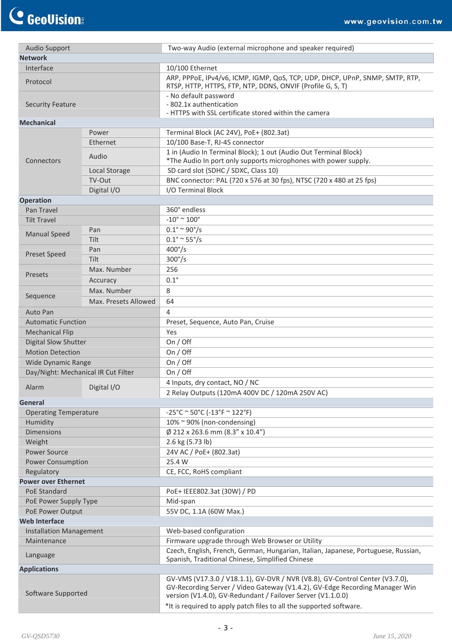| <b>Audio Support</b>           |                                     | Two-way Audio (external microphone and speaker required)                                                                                                                                                                   |
|--------------------------------|-------------------------------------|----------------------------------------------------------------------------------------------------------------------------------------------------------------------------------------------------------------------------|
| <b>Network</b>                 |                                     |                                                                                                                                                                                                                            |
| Interface                      |                                     | 10/100 Ethernet                                                                                                                                                                                                            |
| Protocol                       |                                     | ARP, PPPOE, IPv4/v6, ICMP, IGMP, QoS, TCP, UDP, DHCP, UPnP, SNMP, SMTP, RTP,<br>RTSP, HTTP, HTTPS, FTP, NTP, DDNS, ONVIF (Profile G, S, T)                                                                                 |
| <b>Security Feature</b>        |                                     | - No default password<br>- 802.1x authentication                                                                                                                                                                           |
| <b>Mechanical</b>              |                                     | - HTTPS with SSL certificate stored within the camera                                                                                                                                                                      |
|                                | Power                               | Terminal Block (AC 24V), PoE+ (802.3at)                                                                                                                                                                                    |
| Connectors                     | Ethernet                            | 10/100 Base-T, RJ-45 connector                                                                                                                                                                                             |
|                                |                                     | 1 in (Audio In Terminal Block); 1 out (Audio Out Terminal Block)                                                                                                                                                           |
|                                | Audio                               | *The Audio In port only supports microphones with power supply.                                                                                                                                                            |
|                                | Local Storage                       | SD card slot (SDHC / SDXC, Class 10)                                                                                                                                                                                       |
|                                | TV-Out                              | BNC connector: PAL (720 x 576 at 30 fps), NTSC (720 x 480 at 25 fps)                                                                                                                                                       |
|                                | Digital I/O                         | I/O Terminal Block                                                                                                                                                                                                         |
| <b>Operation</b>               |                                     |                                                                                                                                                                                                                            |
| Pan Travel                     |                                     | 360° endless                                                                                                                                                                                                               |
| <b>Tilt Travel</b>             |                                     | $-10^{\circ}$ ~ $100^{\circ}$                                                                                                                                                                                              |
|                                | Pan                                 | $0.1^{\circ} \sim 90^{\circ}/s$                                                                                                                                                                                            |
| <b>Manual Speed</b>            | Tilt                                | $0.1^{\circ} \approx 55^{\circ}/s$                                                                                                                                                                                         |
| <b>Preset Speed</b>            | Pan                                 | $400^{\circ}/s$                                                                                                                                                                                                            |
|                                | <b>Tilt</b>                         | $300^{\circ}/s$                                                                                                                                                                                                            |
|                                | Max. Number                         | 256                                                                                                                                                                                                                        |
| Presets                        | Accuracy                            | $0.1^\circ$                                                                                                                                                                                                                |
|                                | Max. Number                         | 8                                                                                                                                                                                                                          |
| Sequence                       | Max. Presets Allowed                | 64                                                                                                                                                                                                                         |
| Auto Pan                       |                                     | 4                                                                                                                                                                                                                          |
| <b>Automatic Function</b>      |                                     | Preset, Sequence, Auto Pan, Cruise                                                                                                                                                                                         |
| <b>Mechanical Flip</b>         |                                     | Yes                                                                                                                                                                                                                        |
| Digital Slow Shutter           |                                     | On $/$ Off                                                                                                                                                                                                                 |
| <b>Motion Detection</b>        |                                     | On / Off                                                                                                                                                                                                                   |
| Wide Dynamic Range             |                                     | On / Off                                                                                                                                                                                                                   |
|                                | Day/Night: Mechanical IR Cut Filter | On / Off                                                                                                                                                                                                                   |
|                                |                                     | 4 Inputs, dry contact, NO / NC                                                                                                                                                                                             |
| Alarm                          | Digital I/O                         | 2 Relay Outputs (120mA 400V DC / 120mA 250V AC)                                                                                                                                                                            |
| <b>General</b>                 |                                     |                                                                                                                                                                                                                            |
| <b>Operating Temperature</b>   |                                     | $-25^{\circ}$ C ~ 50°C (-13°F ~ 122°F)                                                                                                                                                                                     |
| Humidity                       |                                     | 10% ~ 90% (non-condensing)                                                                                                                                                                                                 |
| <b>Dimensions</b>              |                                     | $\varnothing$ 212 x 263.6 mm (8.3" x 10.4")                                                                                                                                                                                |
| Weight                         |                                     | 2.6 kg (5.73 lb)                                                                                                                                                                                                           |
| <b>Power Source</b>            |                                     | 24V AC / PoE+ (802.3at)                                                                                                                                                                                                    |
| <b>Power Consumption</b>       |                                     | 25.4 W                                                                                                                                                                                                                     |
| Regulatory                     |                                     | CE, FCC, RoHS compliant                                                                                                                                                                                                    |
| <b>Power over Ethernet</b>     |                                     |                                                                                                                                                                                                                            |
| <b>PoE Standard</b>            |                                     | PoE+ IEEE802.3at (30W) / PD                                                                                                                                                                                                |
| PoE Power Supply Type          |                                     | Mid-span                                                                                                                                                                                                                   |
| PoE Power Output               |                                     | 55V DC, 1.1A (60W Max.)                                                                                                                                                                                                    |
| <b>Web Interface</b>           |                                     |                                                                                                                                                                                                                            |
| <b>Installation Management</b> |                                     | Web-based configuration                                                                                                                                                                                                    |
| Maintenance                    |                                     | Firmware upgrade through Web Browser or Utility                                                                                                                                                                            |
| Language                       |                                     | Czech, English, French, German, Hungarian, Italian, Japanese, Portuguese, Russian,<br>Spanish, Traditional Chinese, Simplified Chinese                                                                                     |
| <b>Applications</b>            |                                     |                                                                                                                                                                                                                            |
| Software Supported             |                                     | GV-VMS (V17.3.0 / V18.1.1), GV-DVR / NVR (V8.8), GV-Control Center (V3.7.0),<br>GV-Recording Server / Video Gateway (V1.4.2), GV-Edge Recording Manager Win<br>version (V1.4.0), GV-Redundant / Failover Server (V1.1.0.0) |
|                                |                                     | *It is required to apply patch files to all the supported software.                                                                                                                                                        |